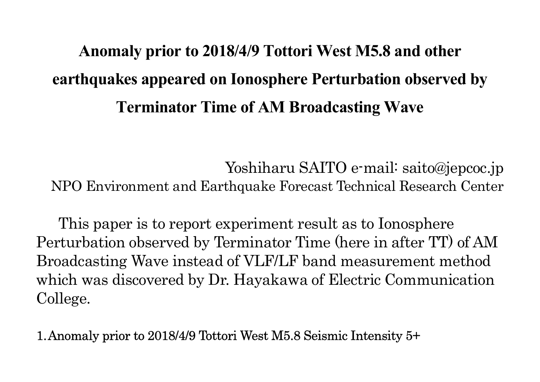## Anomaly prior to 2018/4/9 Tottori West M5.8 and other earthquakes appeared on Ionosphere Perturbation observed by Terminator Time of AM Broadcasting Wave

Yoshiharu SAITO e-mail: saito@jepcoc.jp NPO Environment and Earthquake Forecast Technical Research Center

This paper is to report experiment result as to Ionosphere Perturbation observed by Terminator Time (here in after TT) of AM Broadcasting Wave instead of VLF/LF band measurement method which was discovered by Dr. Hayakawa of Electric Communication College.

1.Anomaly prior to 2018/4/9 Tottori West M5.8 Seismic Intensity 5+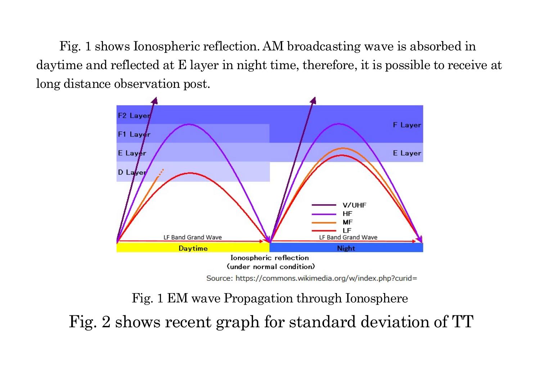Fig. 1 shows Ionospheric reflection. AM broadcasting wave is absorbed in daytime and reflected at E layer in night time, therefore, it is possible to receive at long distance observation post.



Source: https://commons.wikimedia.org/w/index.php?curid=

Fig. 1 EM wave Propagation through Ionosphere Fig. 2 shows recent graph for standard deviation of TT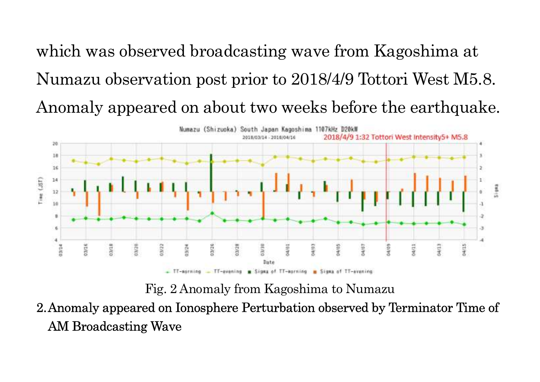which was observed broadcasting wave from Kagoshima at Numazu observation post prior to 2018/4/9 Tottori West M5.8. Anomaly appeared on about two weeks before the earthquake.



Fig. 2 Anomaly from Kagoshima to Numazu

2.Anomaly appeared on Ionosphere Perturbation observed by Terminator Time of AM Broadcasting Wave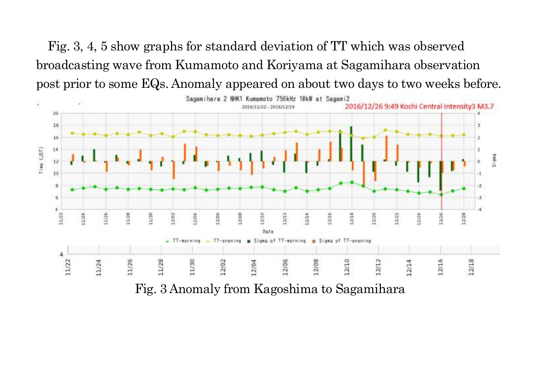Fig. 3, 4, 5 show graphs for standard deviation of TT which was observed broadcasting wave from Kumamoto and Koriyama at Sagamihara observation post prior to some EQs. Anomaly appeared on about two days to two weeks before.

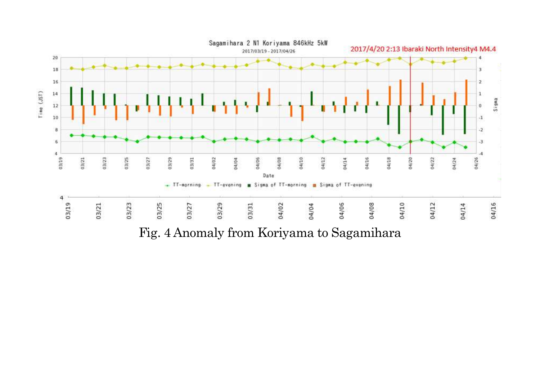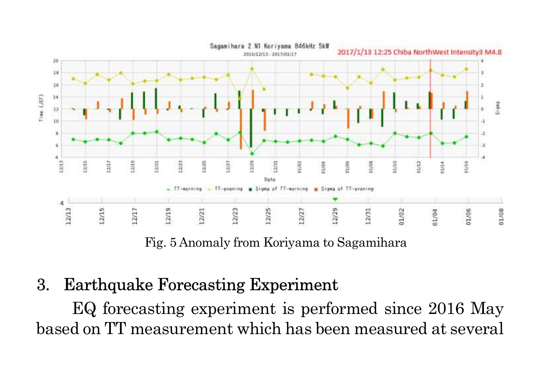

Fig. 5 Anomaly from Koriyama to Sagamihara

## 3. Earthquake Forecasting Experiment

EQ forecasting experiment is performed since 2016 May based on TT measurement which has been measured at several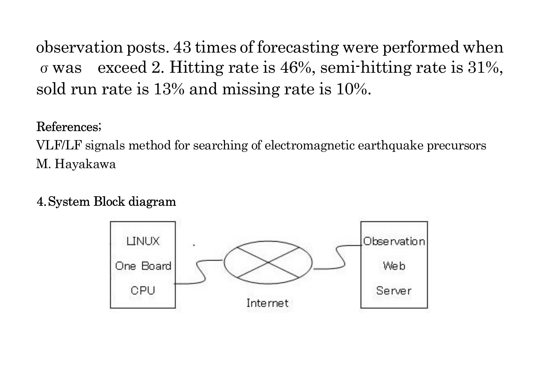observation posts. 43 times of forecasting were performed when σwas exceed 2. Hitting rate is 46%, semi-hitting rate is 31%, sold run rate is 13% and missing rate is 10%.

## References;

VLF/LF signals method for searching of electromagnetic earthquake precursors M. Hayakawa

## 4.System Block diagram